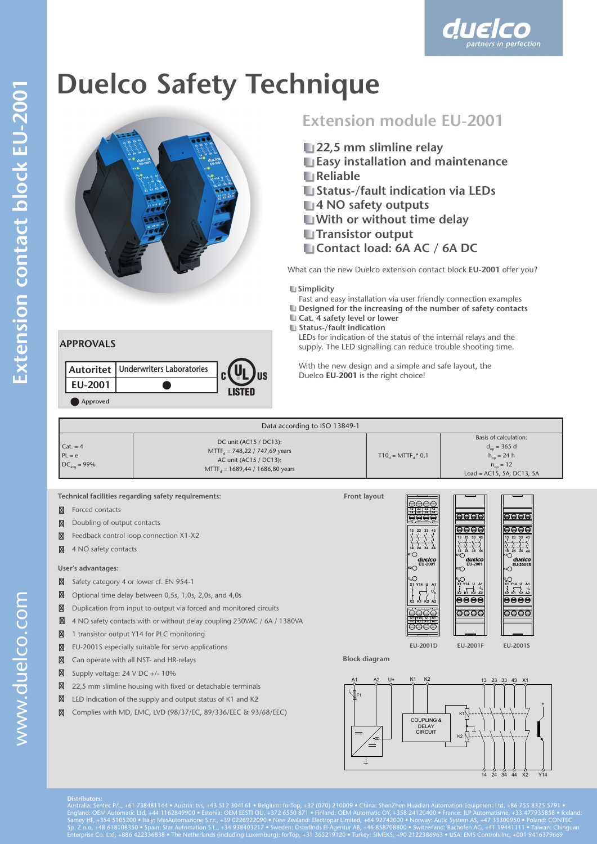

# **Duelco Safety Technique**



## **Extension module EU-2001**

duelco

- **22,5 mm slimline relay**
- **Easy installation and maintenance**
- **Reliable**
- **Status-/fault indication via LEDs**
- **4 NO safety outputs**
- **With or without time delay**
- **Transistor output**
- **Contact load: 6A AC / 6A DC**

What can the new Duelco extension contact block **EU-2001** offer you?

#### **La Simplicity**

Fast and easy installation via user friendly connection examples

- **L** Designed for the increasing of the number of safety contacts **Lat. 4 safety level or lower**
- **Status-/fault indication**

LEDs for indication of the status of the internal relays and the supply. The LED signalling can reduce trouble shooting time.

 With the new design and a simple and safe layout, the Duelco **EU-2001** is the right choice!

|                | Autoritet   Underwriters Laboratories |        |
|----------------|---------------------------------------|--------|
| <b>EU-2001</b> |                                       | LISTEN |
| Approved       |                                       |        |

| Data according to ISO 13849-1                     |                                                                                                                                    |                                     |                                                                                                               |  |
|---------------------------------------------------|------------------------------------------------------------------------------------------------------------------------------------|-------------------------------------|---------------------------------------------------------------------------------------------------------------|--|
| $Cat = 4$<br>$PL = e$<br>$DC_{\text{avg}} = 99\%$ | DC unit (AC15 / DC13):<br>$MTTFA = 748,22 / 747,69$ years<br>AC unit (AC15 / DC13):<br>MTTF <sub>4</sub> = 1689,44 / 1686,80 years | $T10_{d}$ = MTTF <sub>a</sub> * 0,1 | Basis of calculation:<br>$d_{on}$ = 365 d<br>$h_{on} = 24 h$<br>$n_{on} = 12$<br>Load = $AC15$ , 5A; DC13, 5A |  |

**Technical facilities regarding safety requirements:**

Forced contacts

Doubling of output contacts

- Feedback control loop connection X1-X2
- 4 NO safety contacts

### **User's advantages:**

**APPROVALS**

- Safety category 4 or lower cf. EN 954-1
- Optional time delay between 0,5s, 1,0s, 2,0s, and 4,0s
- Duplication from input to output via forced and monitored circuits
- 4 NO safety contacts with or without delay coupling 230VAC / 6A / 1380VA
- 1 transistor output Y14 for PLC monitoring
- EU-2001S especially suitable for servo applications
- Can operate with all NST- and HR-relays
- Supply voltage: 24 V DC +/- 10%
- 22,5 mm slimline housing with fixed or detachable terminals
- LED indication of the supply and output status of K1 and K2
- Complies with MD, EMC, LVD (98/37/EC, 89/336/EEC & 93/68/EEC)



**Block diagram**

**Front layout**

**Ub**

**43 44**





Australia: Sentec P/L, +61 738481144 • Austria: tvs, +43 512 304161 • Belgium: forTop, +32 (070) 210009 • China: ShenZhen Huadian Automation Equipment Ltd, +86 755 8325 5791 •<br>England: OEM Automatic Ltd, +44 1162849900 • E Sp. Z.o.o, +48 618108350 • Spain: Star Automation S.L., +34 938403217 • Sweden: Österlinds El-Agentur AB, +46 858708800 • Switzerland: Bachofen AG, +41 19441111 • Taiwan: Chinguan<br>Enterprise Co. Ltd, +886 422336838 • The N